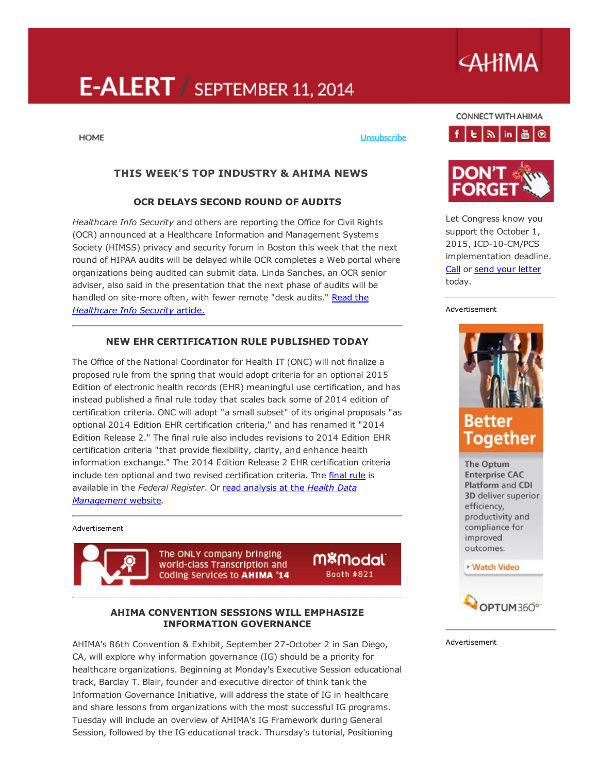# E-ALERT / SEPTEMBER 11, 2014

#### **HOME**

#### Unsubscribe

## THIS WEEK'S TOP INDUSTRY & AHIMA NEWS

#### OCR DELAYS SECOND ROUND OF AUDITS

*Healthcare Info Security* and others are reporting the Office for Civil Rights (OCR) announced at a Healthcare Information and Management Systems Society (HIMSS) privacy and security forum in Boston this week that the next round of HIPAA audits will be delayed while OCR completes a Web portal where organizations being audited can submit data. Linda Sanches, an OCR senior adviser, also said in the presentation that the next phase of audits will be handled on site-more often, with fewer remote "desk audits." Read the *[Healthcare](http://www.healthcareinfosecurity.com/hipaa-audits-revised-game-plan-a-7296) Info Security* article.

## NEW EHR CERTIFICATION RULE PUBLISHED TODAY

The Office of the National Coordinator for Health IT (ONC) will not finalize a proposed rule from the spring that would adopt criteria for an optional 2015 Edition of electronic health records (EHR) meaningful use certification, and has instead published a final rule today that scales back some of 2014 edition of certification criteria. ONC will adopt "a small subset" of its original proposals "as optional 2014 Edition EHR certification criteria," and has renamed it "2014 Edition Release 2." The final rule also includes revisions to 2014 Edition EHR certification criteria "that provide flexibility, clarity, and enhance health information exchange." The 2014 Edition Release 2 EHR certification criteria include ten optional and two revised certification criteria. The *[final](https://www.federalregister.gov/articles/2014/09/11/2014-21633/regulatory-flexibilities-improvements-and-enhanced-health-information-exchange-2014-edition-release) rule* is available in the *Federal Register*. Or read analysis at the *Health Data [Management](http://www.healthdatamanagement.com/news/Feds-Make-More-Changes-to-Meaningful-Use-Program-48777-1.html)* website.

#### Advertisement



The ONLY company bringing world-class Transcription and Coding Services to AHIMA '14

M%Modal` Booth #821

#### AHIMA CONVENTION SESSIONS WILL EMPHASIZE INFORMATION GOVERNANCE

AHIMA's 86th Convention & Exhibit, September 27-October 2 in San Diego, CA, will explore why information governance (IG) should be a priority for healthcare organizations. Beginning at Monday's Executive Session educational track, Barclay T. Blair, founder and executive director of think tank the Information Governance Initiative, will address the state of IG in healthcare and share lessons from organizations with the most successful IG programs. Tuesday will include an overview of AHIMA's IG Framework during General Session*,* followed by the IG educational track. Thursday's tutorial, Positioning

## CONNECT WITH AHIMA  $f$   $E$   $\left| \frac{1}{2} \right|$  in  $\left| \frac{1}{100} \right|$   $\left| \frac{1}{100} \right|$



Let Congress know you support the October 1, 2015, ICD-10-CM/PCS implementation deadline. [Call](http://capwiz.com/ahima/callalert/index.tt?alertid=63307796) or send your [letter](http://capwiz.com/ahima/issues/alert/?alertid=63175786) today.

#### Advertisement



The Optum **Enterprise CAC** Platform and CDI 3D deliver superior efficiency, productivity and compliance for improved outcomes.

#### **Watch Video**



Advertisement

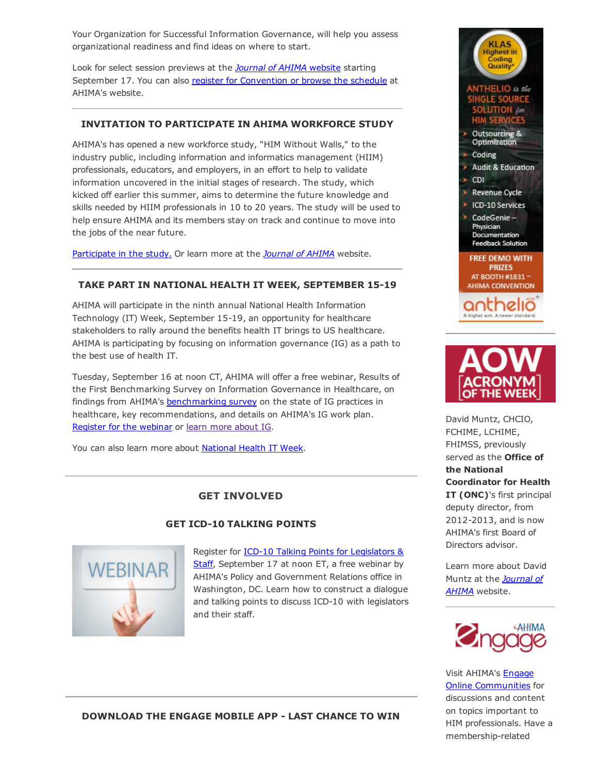Your Organization for Successful Information Governance, will help you assess organizational readiness and find ideas on where to start.

Look for select session previews at the *Journal of AHIMA* [website](http://journal.ahima.org/) starting September 17. You can also register for [Convention](http://www.ahima.org/convention) or browse the schedule at AHIMA's website.

## INVITATION TO PARTICIPATE IN AHIMA WORKFORCE STUDY

AHIMA's has opened a new workforce study, "HIM Without Walls," to the industry public, including information and informatics management (HIIM) professionals, educators, and employers, in an effort to help to validate information uncovered in the initial stages of research. The study, which kicked off earlier this summer, aims to determine the future knowledge and skills needed by HIIM professionals in 10 to 20 years. The study will be used to help ensure AHIMA and its members stay on track and continue to move into the jobs of the near future.

[Participate](https://ahimastudy.questionpro.com/) in the study. Or learn more at the *[Journal](http://journal.ahima.org/2014/09/09/ahima-expands-workforce-study-calls-on-industry-to-participate/) of AHIMA* website.

### TAKE PART IN NATIONAL HEALTH IT WEEK, SEPTEMBER 15-19

AHIMA will participate in the ninth annual National Health Information Technology (IT) Week, September 15-19, an opportunity for healthcare stakeholders to rally around the benefits health IT brings to US healthcare. AHIMA is participating by focusing on information governance (IG) as a path to the best use of health IT.

Tuesday, September 16 at noon CT, AHIMA will offer a free webinar, Results of the First Benchmarking Survey on Information Governance in Healthcare, on findings from AHIMA's [benchmarking](http://research.zarca.com/survey.aspx?k=SsURPPsUPQsPsPsP&lang=0&data=) survey on the state of IG practices in healthcare, key recommendations, and details on AHIMA's IG work plan. [Register](https://cc.readytalk.com/r/v5zq8iiglw2x&eom) for the webinar or learn more [about](http://www.ahima.org/topics/infogovernance) IG.

You can also learn more about [National](http://www.healthitweek.org/) Health IT Week.

## GET INVOLVED



### **GET ICD-10 TALKING POINTS**

Register for **ICD-10 Talking Points for Legislators &** Staff, [September](https://ahima.webex.com/ahima/j.php?ED=304893317&RG=1&UID=0&RT=MiMxMQ%3D%3D) 17 at noon ET, a free webinar by AHIMA's Policy and Government Relations office in Washington, DC. Learn how to construct a dialogue and talking points to discuss ICD-10 with legislators and their staff.





David Muntz, CHCIO, FCHIME, LCHIME, FHIMSS, previously served as the **Office of** the National Coordinator for Health IT (ONC)'s first principal deputy director, from 2012-2013, and is now AHIMA's first Board of Directors advisor.

Learn more about David Muntz at the *Journal of AHIMA* [website.](http://journal.ahima.org/2014/08/28/qa-with-david-muntz-ahimas-first-board-of-directors-adviser/)



Visit AHIMA's Engage Online [Communities](http://engage.ahima.org/) for discussions and content on topics important to HIM professionals. Have a membership-related

DOWNLOAD THE ENGAGE MOBILE APP LAST CHANCE TO WIN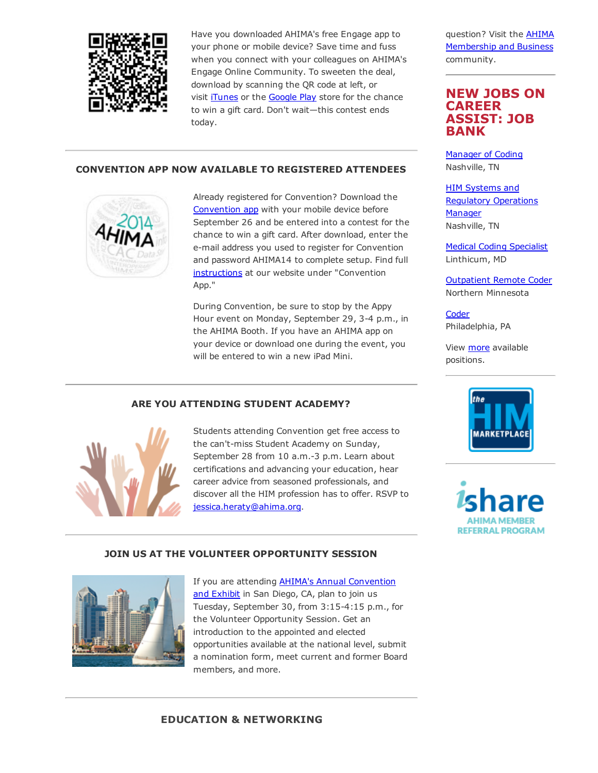

Have you downloaded AHIMA's free Engage app to your phone or mobile device? Save time and fuss when you connect with your colleagues on AHIMA's Engage Online Community. To sweeten the deal, download by scanning the QR code at left, or visit *[iTunes](https://itunes.apple.com/us/app/ahima-engage/id795420301?mt=8)* or the **[Google](https://play.google.com/store/apps/details?id=net.rd.android.membercentric.ahima) Play** store for the chance to win a gift card. Don't wait—this contest ends today.

## CONVENTION APP NOW AVAILABLE TO REGISTERED ATTENDEES



Already registered for Convention? Download the [Convention](http://ddut.ch/ahimacon14) app with your mobile device before September 26 and be entered into a contest for the chance to win a gift card. After download, enter the email address you used to register for Convention and password AHIMA14 to complete setup. Find full [instructions](http://www.ahima.org/convention/geninfo?tabid=online) at our website under "Convention App."

During Convention, be sure to stop by the Appy Hour event on Monday, September 29, 3-4 p.m., in the AHIMA Booth. If you have an AHIMA app on your device or download one during the event, you will be entered to win a new iPad Mini.

## ARE YOU ATTENDING STUDENT ACADEMY?



Students attending Convention get free access to the can't-miss Student Academy on Sunday, September 28 from 10 a.m.-3 p.m. Learn about certifications and advancing your education, hear career advice from seasoned professionals, and discover all the HIM profession has to offer. RSVP to [jessica.heraty@ahima.org](mailto:jessica.heraty@AHIMA.org).

#### JOIN US AT THE VOLUNTEER OPPORTUNITY SESSION



If you are attending **AHIMA's Annual [Convention](http://www.ahima.org/convention)** and Exhibit in San Diego, CA, plan to join us Tuesday, September 30, from 3:15-4:15 p.m., for the Volunteer Opportunity Session. Get an introduction to the appointed and elected opportunities available at the national level, submit a nomination form, meet current and former Board members, and more.

question? Visit the AHIMA [Membership](http://engage.ahima.org/communities/viewcommunities/groupdetails/?CommunityKey=93941d81-3fb0-4301-8fd0-81f6bce5889d) and Business community.

## NEW JOBS ON **CARFFR** ASSIST: JOB BANK

[Manager](http://careerassist.ahima.org/jobseeker/job/19075749/) of Coding Nashville, TN

HIM Systems and Regulatory [Operations](http://careerassist.ahima.org/jobseeker/job/19075827/) **Manager** Nashville, TN

Medical Coding [Specialist](http://careerassist.ahima.org/jobseeker/job/8999946/) Linthicum, MD

[Outpatient](http://careerassist.ahima.org/jobseeker/job/19992733/) Remote Coder Northern Minnesota

**[Coder](http://careerassist.ahima.org/jobseeker/job/19986593/)** Philadelphia, PA

View [more](http://careerassist.ahima.org/home/home.cfm?site_id=681) available positions.



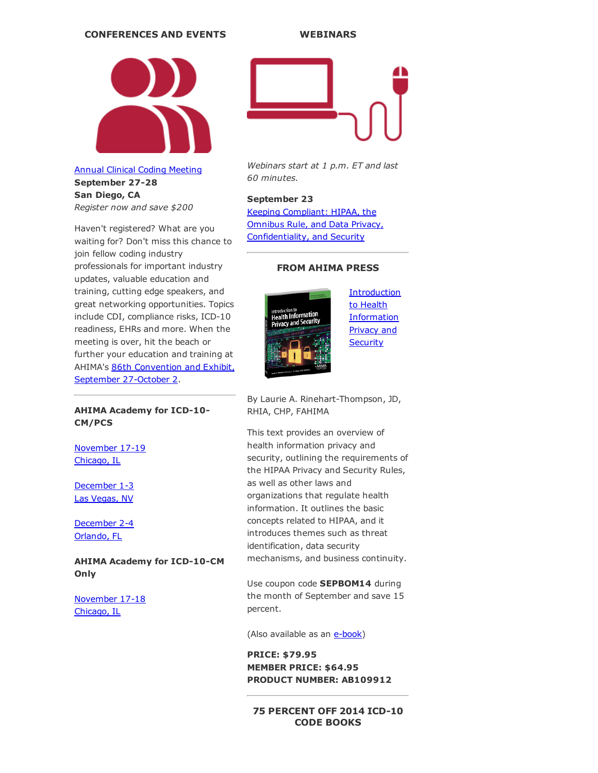#### CONFERENCES AND EVENTS



Annual Clinical Coding [Meeting](http://www.ahima.org/events/2014Sept-clinicalcoding) September 27-28 San Diego, CA *Register now and save \$200*

Haven't registered? What are you waiting for? Don't miss this chance to join fellow coding industry professionals for important industry updates, valuable education and training, cutting edge speakers, and great networking opportunities. Topics include CDI, compliance risks, ICD-10 readiness, EHRs and more. When the meeting is over, hit the beach or further your education and training at AHIMA's 86th [Convention](http://www.ahima.org/convention) and Exhibit, September 27-October 2.

#### AHIMA Academy for ICD-10-CM/PCS

[November](http://www.ahima.org/events/2014nov-icd10academy-chi) 17-19 Chicago, IL

[December](http://www.ahima.org/events/2014Dec-icd10academy-Vegas) 1-3 Las Vegas, NV

[December](http://www.ahima.org/events/2014dec-icd10academy-orlando) 2-4 Orlando, FL

AHIMA Academy for ICD-10-CM **Only** 

[November](http://www.ahima.org/events/2014Nov-CMacademy-chi) 17-18 Chicago, IL



*Webinars start at 1 p.m. ET and last 60 minutes.*

## September 23

Keeping Compliant: HIPAA, the Omnibus Rule, and Data Privacy, [Confidentiality,](https://www.ahimastore.org/ProductDetailAudioSeminars.aspx?ProductID=17280&MXCode=MX9112) and Security

## FROM AHIMA PRESS



**[Introduction](https://www.ahimastore.org/ProductDetailBooks.aspx?ProductID=15302&MXCode=MX9112)** to Health **Information** Privacy and **Security** 

By Laurie A. Rinehart-Thompson, JD, RHIA, CHP, FAHIMA

This text provides an overview of health information privacy and security, outlining the requirements of the HIPAA Privacy and Security Rules, as well as other laws and organizations that regulate health information. It outlines the basic concepts related to HIPAA, and it introduces themes such as threat identification, data security mechanisms, and business continuity.

Use coupon code SEPBOM14 during the month of September and save 15 percent.

(Also available as an e-book)

PRICE: \$79.95 MEMBER PRICE: \$64.95 PRODUCT NUMBER: AB109912

### **75 PERCENT OFF 2014 ICD-10** CODE BOOKS